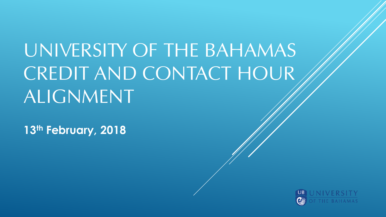## UNIVERSITY OF THE BAHAMAS CREDIT AND CONTACT HOUR ALIGNMENT

**13th February, 2018**

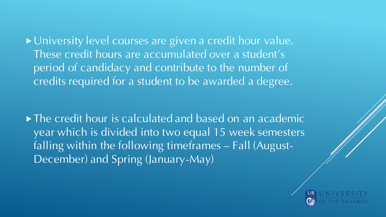**Dialogura 19 Yuniversity level courses are given a credit hour value.** These credit hours are accumulated over a student's period of candidacy and contribute to the number of credits required for a student to be awarded a degree.

 $\triangleright$  The credit hour is calculated and based on an academic year which is divided into two equal 15 week semesters falling within the following timeframes – Fall (August-December) and Spring (January-May)

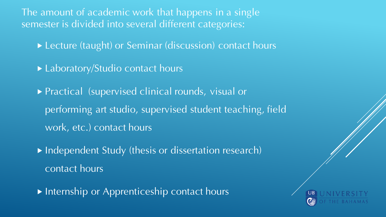The amount of academic work that happens in a single semester is divided into several different categories:

- ▶ Lecture (taught) or Seminar (discussion) contact hours
- ▶ Laboratory/Studio contact hours
- ▶ Practical (supervised clinical rounds, visual or performing art studio, supervised student teaching, field work, etc.) contact hours
- $\overline{\blacktriangleright}$  Independent Study (thesis or dissertation research) contact hours
- Internship or Apprenticeship contact hours

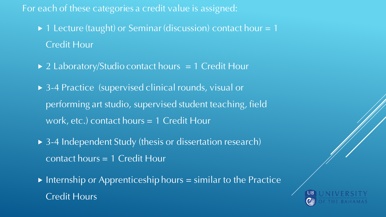#### For each of these categories a credit value is assigned:

- $\triangleright$  1 Lecture (taught) or Seminar (discussion) contact hour = 1 Credit Hour
- $\triangleright$  2 Laboratory/Studio contact hours = 1 Credit Hour
- ▶ 3-4 Practice (supervised clinical rounds, visual or performing art studio, supervised student teaching, field work, etc.) contact hours = 1 Credit Hour
- ▶ 3-4 Independent Study (thesis or dissertation research) contact hours = 1 Credit Hour
- $\triangleright$  Internship or Apprenticeship hours = similar to the Practice Credit Hours

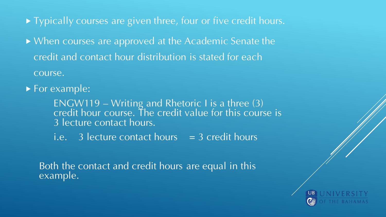- ▶ Typically courses are given three, four or five credit hours.
- ▶ When courses are approved at the Academic Senate the credit and contact hour distribution is stated for each course.
- **For example:** 
	- ENGW119 Writing and Rhetoric I is a three (3) credit hour course. The credit value for this course is 3 lecture contact hours.
	- i.e.  $\overline{3}$  lecture contact hours  $\overline{)} = 3$  credit hours

Both the contact and credit hours are equal in this example.

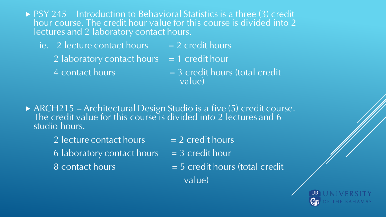- ▶ PSY 245 Introduction to Behavioral Statistics is a three (3) credit hour course. The credit hour value for this course is divided into 2 lectures and 2 laboratory contact hours.
	- ie. 2 lecture contact hours  $= 2$  credit hours
		- 2 laboratory contact hours  $= 1$  credit hour
		-
		- 4 contact hours  $= 3$  credit hours (total credit value)
- ▶ ARCH215 Architectural Design Studio is a five (5) credit course. The credit value for this course is divided into 2 lectures and 6 studio hours.
	- 2 lecture contact hours  $= 2$  credit hours
	- 6 laboratory contact hours  $= 3$  credit hour
	-
	- $8$  contact hours  $= 5$  credit hours (total credit
		- value)

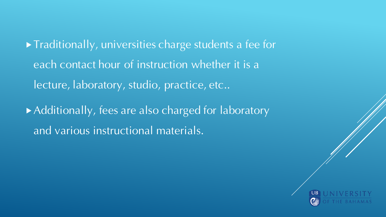Traditionally, universities charge students a fee for each contact hour of instruction whether it is a lecture, laboratory, studio, practice, etc..

Additionally, fees are also charged for laboratory and various instructional materials.

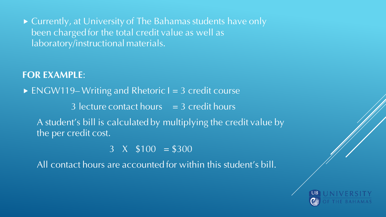▶ Currently, at University of The Bahamas students have only been charged for the total credit value as well as laboratory/instructional materials.

#### **FOR EXAMPLE**:

 $\triangleright$  ENGW119– Writing and Rhetoric I = 3 credit course 3 lecture contact hours  $=$  3 credit hours A student's bill is calculated by multiplying the credit value by the per credit cost.

 $3 \times \$100 = \$300$ 

All contact hours are accounted for within this student's bill.

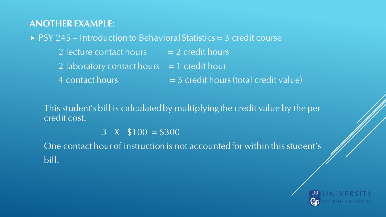#### **ANOTHER EXAMPLE**:

#### $\triangleright$  PSY 245 – Introduction to Behavioral Statistics = 3 credit course

- 2 lecture contact hours  $= 2$  credit hours
- 2 laboratory contact hours  $= 1$  credit hour
- 4 contact hours  $= 3$  credit hours (total credit value)

This student's bill is calculated by multiplying the credit value by the per credit cost.

 $3 \times \$100 = \$300$ 

One contact hour of instruction is not accounted for within this student's bill.

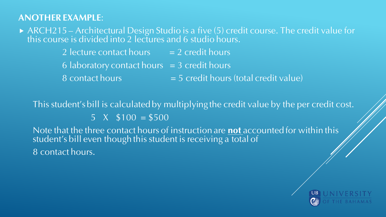#### **ANOTHER EXAMPLE**:

▶ ARCH215 – Architectural Design Studio is a five (5) credit course. The credit value for this course is divided into 2 lectures and 6 studio hours.

- 2 lecture contact hours  $= 2$  credit hours
- $6$  laboratory contact hours  $= 3$  credit hours
- $8$  contact hours  $= 5$  credit hours (total credit value)

This student's bill is calculated by multiplying the credit value by the per credit cost.

 $5 \times \$100 = \$500$ 

Note that the three contact hours of instruction are **not** accounted for within this student's bill even though this student is receiving a total of 8 contact hours.

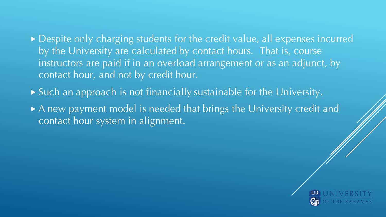- ▶ Despite only charging students for the credit value, all expenses incurred by the University are calculated by contact hours. That is, course instructors are paid if in an overload arrangement or as an adjunct, by contact hour, and not by credit hour.
- Such an approach is not financially sustainable for the University.
- A new payment model is needed that brings the University credit and contact hour system in alignment.

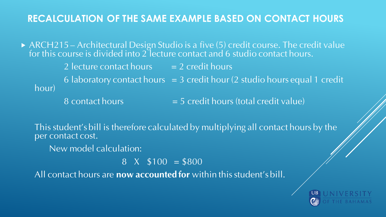#### **RECALCULATION OF THE SAME EXAMPLE BASED ON CONTACT HOURS**

▶ ARCH215 – Architectural Design Studio is a five (5) credit course. The credit value for this course is divided into 2 lecture contact and 6 studio contact hours.

2 lecture contact hours  $= 2$  credit hours

6 laboratory contact hours  $= 3$  credit hour (2 studio hours equal 1 credit hour)

 $8$  contact hours  $= 5$  credit hours (total credit value)

This student's bill is therefore calculated by multiplying all contact hours by the per contact cost.

New model calculation:

 $8 \times \$100 = \$800$ 

All contact hours are **now accounted for** within this student's bill.

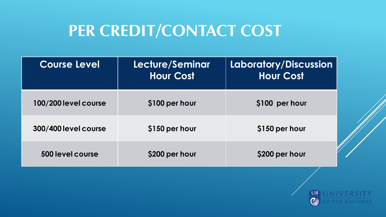### **PER CREDIT/CONTACT COST**

| <b>Course Level</b>  | Lecture/Seminar<br><b>Hour Cost</b> | <b>Laboratory/Discussion</b><br><b>Hour Cost</b> |
|----------------------|-------------------------------------|--------------------------------------------------|
| 100/200 level course | \$100 per hour                      | \$100 per hour                                   |
| 300/400 level course | \$150 per hour                      | \$150 per hour                                   |
| 500 level course     | \$200 per hour                      | \$200 per hour                                   |

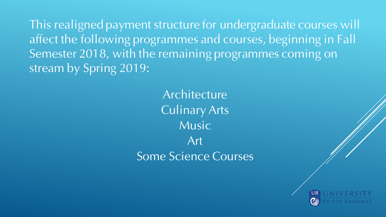This realigned payment structure for undergraduate courses will affect the following programmes and courses, beginning in Fall Semester 2018, with the remaining programmes coming on stream by Spring 2019:

> Architecture Culinary Arts Music **Art** Some Science Courses